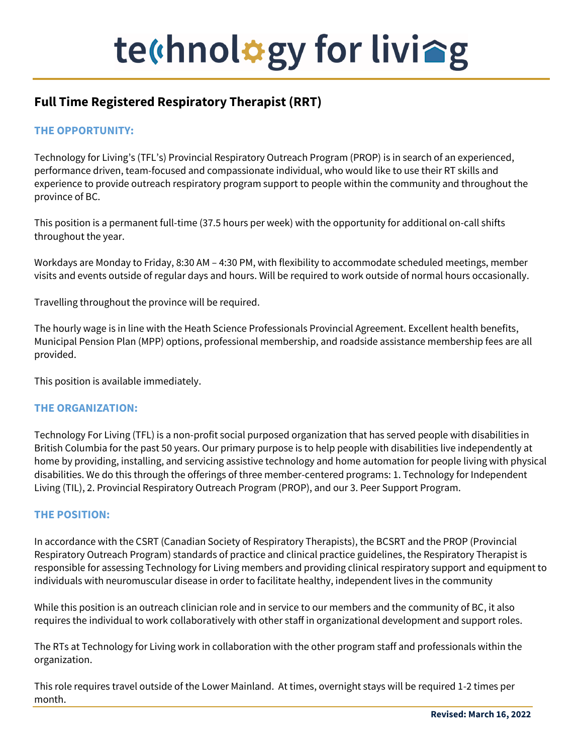# te (hnol#gy for livieg

# **Full Time Registered Respiratory Therapist (RRT)**

## **THE OPPORTUNITY:**

Technology for Living's (TFL's) Provincial Respiratory Outreach Program (PROP) is in search of an experienced, performance driven, team-focused and compassionate individual, who would like to use their RT skills and experience to provide outreach respiratory program support to people within the community and throughout the province of BC.

This position is a permanent full-time (37.5 hours per week) with the opportunity for additional on-call shifts throughout the year.

Workdays are Monday to Friday, 8:30 AM - 4:30 PM, with flexibility to accommodate scheduled meetings, member visits and events outside of regular days and hours. Will be required to work outside of normal hours occasionally.

Travelling throughout the province will be required.

The hourly wage is in line with the Heath Science Professionals Provincial Agreement. Excellent health benefits, Municipal Pension Plan (MPP) options, professional membership, and roadside assistance membership fees are all provided.

This position is available immediately.

### **THE ORGANIZATION:**

Technology For Living (TFL) is a non-profit social purposed organization that has served people with disabilities in British Columbia for the past 50 years. Our primary purpose is to help people with disabilities live independently at home by providing, installing, and servicing assistive technology and home automation for people living with physical disabilities. We do this through the offerings of three member-centered programs: 1. Technology for Independent Living (TIL), 2. Provincial Respiratory Outreach Program (PROP), and our 3. Peer Support Program.

#### **THE POSITION:**

In accordance with the CSRT (Canadian Society of Respiratory Therapists), the BCSRT and the PROP (Provincial Respiratory Outreach Program) standards of practice and clinical practice guidelines, the Respiratory Therapist is responsible for assessing Technology for Living members and providing clinical respiratory support and equipment to individuals with neuromuscular disease in order to facilitate healthy, independent lives in the community

While this position is an outreach clinician role and in service to our members and the community of BC, it also requires the individual to work collaboratively with other staff in organizational development and support roles.

The RTs at Technology for Living work in collaboration with the other program staff and professionals within the organization.

This role requires travel outside of the Lower Mainland. At times, overnight stays will be required 1-2 times per month.